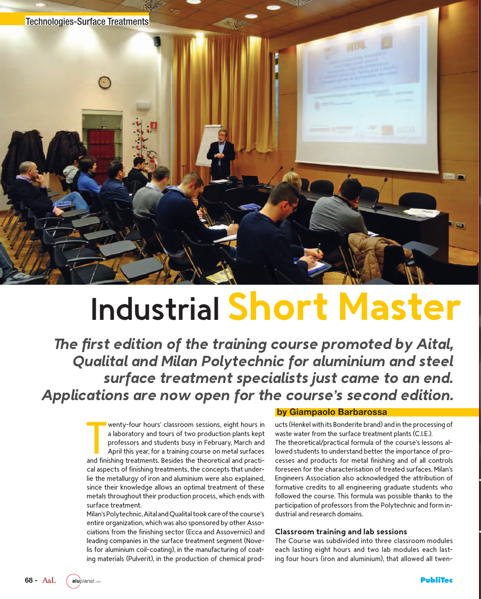

# Industrial **Short Master**

*The first edition of the training course promoted by Aital, Qualital and Milan Polytechnic for aluminium and steel surface treatment specialists just came to an end. Applications are now open for the course's second edition.*

> wenty-four hours' classroom sessions, eight hours in<br>a laboratory and tours of two production plants kept<br>professors and students busy in February, March and<br>April this year, for a training course on metal surfaces<br>and fin wenty-four hours' classroom sessions, eight hours in a laboratory and tours of two production plants kept professors and students busy in February, March and April this year, for a training course on metal surfaces cal aspects of finishing treatments, the concepts that underlie the metallurgy of iron and aluminium were also explained, since their knowledge allows an optimal treatment of these metals throughout their production process, which ends with surface treatment.

> Milan's Polytechnic, Aital and Qualital took care of the course's entire organization, which was also sponsored by other Associations from the finishing sector (Ecca and Assovernici) and leading companies in the surface treatment segment (Novelis for aluminium coil-coating), in the manufacturing of coating materials (Pulverit), in the production of chemical prod-

#### **by Giampaolo Barbarossa**

ucts (Henkel with its Bonderite brand) and in the processing of waste water from the surface treatment plants (C.I.E.). The theoretical/practical formula of the course's lessons allowed students to understand better the importance of processes and products for metal finishing and of all controls foreseen for the characterisation of treated surfaces. Milan's Engineers Association also acknowledged the attribution of formative credits to all engineering graduate students who followed the course. This formula was possible thanks to the participation of professors from the Polytechnic and form industrial and research domains.

#### **Classroom training and lab sessions**

The Course was subdivided into three classroom modules each lasting eight hours and two lab modules each lasting four hours (iron and aluminium), that allowed all twen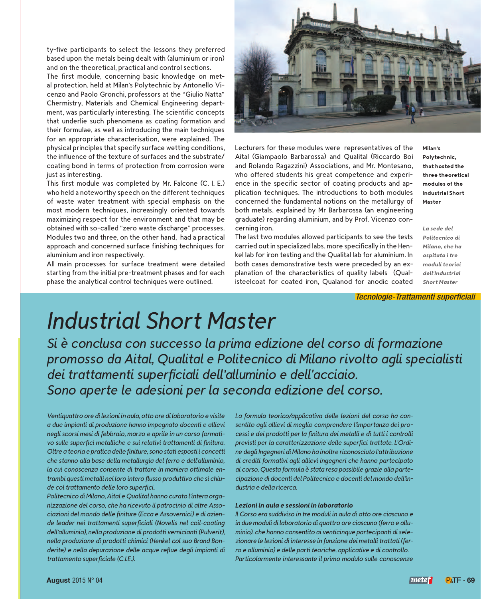ty-five participants to select the lessons they preferred based upon the metals being dealt with (aluminium or iron) and on the theoretical, practical and control sections.

The first module, concerning basic knowledge on metal protection, held at Milan's Polytechnic by Antonello Vicenzo and Paolo Gronchi, professors at the "Giulio Natta" Chermistry, Materials and Chemical Engineering department, was particularly interesting. The scientific concepts that underlie such phenomena as coating formation and their formulae, as well as introducing the main techniques for an appropriate characterisation, were explained. The physical principles that specify surface wetting conditions, the influence of the texture of surfaces and the substrate/ coating bond in terms of protection from corrosion were just as interesting.

This first module was completed by Mr. Falcone (C. I. E.) who held a noteworthy speech on the different techniques of waste water treatment with special emphasis on the most modern techniques, increasingly oriented towards maximizing respect for the environment and that may be obtained with so-called "zero waste discharge" processes. Modules two and three, on the other hand, had a practical approach and concerned surface finishing techniques for aluminium and iron respectively.

All main processes for surface treatment were detailed starting from the initial pre-treatment phases and for each phase the analytical control techniques were outlined.



Lecturers for these modules were representatives of the Aital (Giampaolo Barbarossa) and Qualital (Riccardo Boi and Rolando Ragazzini) Associations, and Mr. Montesano, who offered students his great competence and experience in the specific sector of coating products and application techniques. The introductions to both modules concerned the fundamental notions on the metallurgy of both metals, explained by Mr Barbarossa (an engineering graduate) regarding aluminium, and by Prof. Vicenzo concerning iron.

The last two modules allowed participants to see the tests carried out in specialized labs, more specifically in the Henkel lab for iron testing and the Qualital lab for aluminium. In both cases demonstrative tests were preceded by an explanation of the characteristics of quality labels (Qualisteelcoat for coated iron, Qualanod for anodic coated **Milan's Polytechnic, that hosted the three theoretical modules of the Industrial Short Master**

*La sede del Politecnico di Milano, che ha ospitato i tre moduli teorici dell'Industrial Short Master*

*Tecnologie-Trattamenti superficiali*

# *Industrial Short Master*

*Si è conclusa con successo la prima edizione del corso di formazione promosso da Aital, Qualital e Politecnico di Milano rivolto agli specialisti dei trattamenti superficiali dell'alluminio e dell'acciaio. Sono aperte le adesioni per la seconda edizione del corso.*

*Ventiquattro ore di lezioni in aula, otto ore di laboratorio e visite a due impianti di produzione hanno impegnato docenti e allievi negli scorsi mesi di febbraio, marzo e aprile in un corso formativo sulle superfici metalliche e sui relativi trattamenti di finitura. Oltre a teoria e pratica delle finiture, sono stati esposti i concetti che stanno alla base della metallurgia del ferro e dell'alluminio, la cui conoscenza consente di trattare in maniera ottimale entrambi questi metalli nel loro intero flusso produttivo che si chiude col trattamento delle loro superfici.*

*Politecnico di Milano, Aital e Qualital hanno curato l'intera organizzazione del corso, che ha ricevuto il patrocinio di altre Associazioni del mondo delle finiture (Ecca e Assovernici) e di aziende leader nei trattamenti superficiali (Novelis nel coil-coating dell'alluminio), nella produzione di prodotti vernicianti (Pulverit), nella produzione di prodotti chimici (Henkel col suo Brand Bonderite) e nella depurazione delle acque reflue degli impianti di trattamento superficiale (C.I.E.).*

*La formula teorico/applicativa delle lezioni del corso ha consentito agli allievi di meglio comprendere l'importanza dei processi e dei prodotti per la finitura dei metalli e di tutti i controlli previsti per la caratterizzazione delle superfici trattate. L'Ordine degli Ingegneri di Milano ha inoltre riconosciuto l'attribuzione di crediti formativi agli allievi ingegneri che hanno partecipato al corso. Questa formula è stata resa possibile grazie alla partecipazione di docenti del Politecnico e docenti del mondo dell'industria e della ricerca.*

#### *Lezioni in aula e sessioni in laboratorio*

*Il Corso era suddiviso in tre moduli in aula di otto ore ciascuno e in due moduli di laboratorio di quattro ore ciascuno (ferro e alluminio), che hanno consentito ai venticinque partecipanti di selezionare le lezioni di interesse in funzione dei metalli trattati (ferro e alluminio) e delle parti teoriche, applicative e di controllo. Particolarmente interessante il primo modulo sulle conoscenze*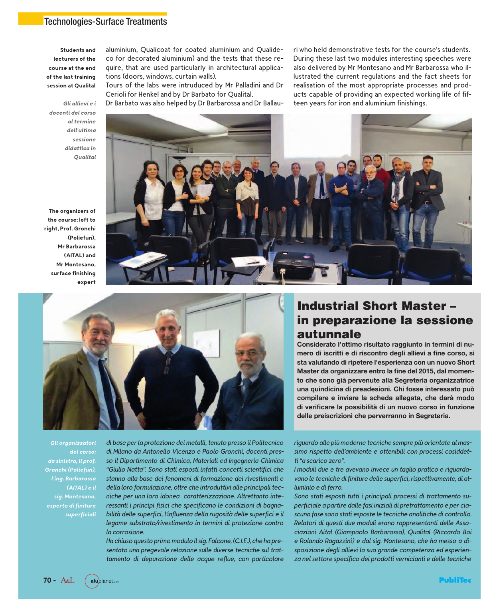#### Technologies-Surface Treatments

**Students and lecturers of the course at the end of the last training session at Qualital**

aluminium, Qualicoat for coated aluminium and Qualideco for decorated aluminium) and the tests that these require, that are used particularly in architectural applications (doors, windows, curtain walls).

Tours of the labs were intruduced by Mr Palladini and Dr Cerioli for Henkel and by Dr Barbato for Qualital.

Dr Barbato was also helped by Dr Barbarossa and Dr Ballau-

ri who held demonstrative tests for the course's students. During these last two modules interesting speeches were also delivered by Mr Montesano and Mr Barbarossa who illustrated the current regulations and the fact sheets for realisation of the most appropriate processes and products capable of providing an expected working life of fifteen years for iron and aluminium finishings.

*Gli allievi e i docenti del corso al termine dell'ultima sessione didattica in Qualital*

**The organizers of the course: left to right, Prof. Gronchi (Poliefun), Mr Barbarossa (AITAL) and Mr Montesano, surface finishing expert**





## **Industrial Short Master – in preparazione la sessione autunnale**

**Considerato l'ottimo risultato raggiunto in termini di numero di iscritti e di riscontro degli allievi a fine corso, si sta valutando di ripetere l'esperienza con un nuovo Short Master da organizzare entro la fine del 2015, dal momento che sono già pervenute alla Segreteria organizzatrice una quindicina di preadesioni. Chi fosse interessato può compilare e inviare la scheda allegata, che darà modo di verificare la possibilità di un nuovo corso in funzione delle preiscrizioni che perverranno in Segreteria.**

*Gli organizzatori del corso: da sinistra, il prof. Gronchi (Poliefun), l'ing. Barbarossa (AITAL) e il sig. Montesano, esperto di finiture superficiali*

*di base per la protezione dei metalli, tenuto presso il Politecnico di Milano da Antonello Vicenzo e Paolo Gronchi, docenti presso il Dipartimento di Chimica, Materiali ed Ingegneria Chimica "Giulio Natta". Sono stati esposti infatti concetti scientifici che stanno alla base dei fenomeni di formazione dei rivestimenti e della loro formulazione, oltre che introduttivi alle principali tecniche per una loro idonea caratterizzazione. Altrettanto interessanti i principi fisici che specificano le condizioni di bagnabilità delle superfici, l'influenza della rugosità delle superfici e il legame substrato/rivestimento in termini di protezione contro la corrosione.*

*Ha chiuso questo primo modulo il sig. Falcone, (C.I.E.), che ha presentato una pregevole relazione sulle diverse tecniche sul trattamento di depurazione delle acque reflue, con particolare*

*riguardo alle più moderne tecniche sempre più orientate al massimo rispetto dell'ambiente e ottenibili con processi cosiddetti "a scarico zero".*

*I moduli due e tre avevano invece un taglio pratico e riguardavano le tecniche di finiture delle superfici, rispettivamente, di alluminio e di ferro.*

*Sono stati esposti tutti i principali processi di trattamento superficiale a partire dalle fasi iniziali di pretrattamento e per ciascuna fase sono stati esposte le tecniche analitiche di controllo. Relatori di questi due moduli erano rappresentanti delle Associazioni Aital (Giampaolo Barbarossa), Qualital (Riccardo Boi e Rolando Ragazzini) e dal sig. Montesano, che ha messo a disposizione degli allievi la sua grande competenza ed esperienza nel settore specifico dei prodotti vernicianti e delle tecniche*